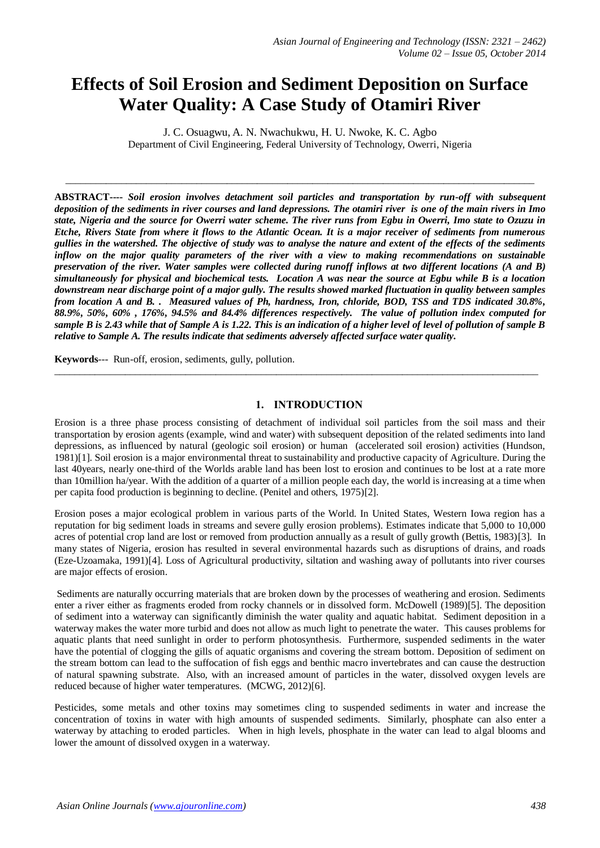# **Effects of Soil Erosion and Sediment Deposition on Surface Water Quality: A Case Study of Otamiri River**

J. C. Osuagwu, A. N. Nwachukwu, H. U. Nwoke, K. C. Agbo Department of Civil Engineering, Federal University of Technology, Owerri, Nigeria

 $\_$  ,  $\_$  ,  $\_$  ,  $\_$  ,  $\_$  ,  $\_$  ,  $\_$  ,  $\_$  ,  $\_$  ,  $\_$  ,  $\_$  ,  $\_$  ,  $\_$  ,  $\_$  ,  $\_$  ,  $\_$  ,  $\_$  ,  $\_$  ,  $\_$  ,  $\_$  ,  $\_$  ,  $\_$  ,  $\_$  ,  $\_$  ,  $\_$  ,  $\_$  ,  $\_$  ,  $\_$  ,  $\_$  ,  $\_$  ,  $\_$  ,  $\_$  ,  $\_$  ,  $\_$  ,  $\_$  ,  $\_$  ,  $\_$  ,

**ABSTRACT----** *Soil erosion involves detachment soil particles and transportation by run-off with subsequent deposition of the sediments in river courses and land depressions. The otamiri river is one of the main rivers in Imo state, Nigeria and the source for Owerri water scheme. The river runs from Egbu in Owerri, Imo state to Ozuzu in Etche, Rivers State from where it flows to the Atlantic Ocean. It is a major receiver of sediments from numerous gullies in the watershed. The objective of study was to analyse the nature and extent of the effects of the sediments inflow on the major quality parameters of the river with a view to making recommendations on sustainable preservation of the river. Water samples were collected during runoff inflows at two different locations (A and B) simultaneously for physical and biochemical tests. Location A was near the source at Egbu while B is a location downstream near discharge point of a major gully. The results showed marked fluctuation in quality between samples from location A and B. . Measured values of Ph, hardness, Iron, chloride, BOD, TSS and TDS indicated 30.8%, 88.9%, 50%, 60% , 176%, 94.5% and 84.4% differences respectively. The value of pollution index computed for sample B is 2.43 while that of Sample A is 1.22. This is an indication of a higher level of level of pollution of sample B relative to Sample A. The results indicate that sediments adversely affected surface water quality.*

**Keywords**--- Run-off, erosion, sediments, gully, pollution.

## **1. INTRODUCTION**

 $\_$  ,  $\_$  ,  $\_$  ,  $\_$  ,  $\_$  ,  $\_$  ,  $\_$  ,  $\_$  ,  $\_$  ,  $\_$  ,  $\_$  ,  $\_$  ,  $\_$  ,  $\_$  ,  $\_$  ,  $\_$  ,  $\_$  ,  $\_$  ,  $\_$  ,  $\_$  ,  $\_$  ,  $\_$  ,  $\_$  ,  $\_$  ,  $\_$  ,  $\_$  ,  $\_$  ,  $\_$  ,  $\_$  ,  $\_$  ,  $\_$  ,  $\_$  ,  $\_$  ,  $\_$  ,  $\_$  ,  $\_$  ,  $\_$  ,

Erosion is a three phase process consisting of detachment of individual soil particles from the soil mass and their transportation by erosion agents (example, wind and water) with subsequent deposition of the related sediments into land depressions, as influenced by natural (geologic soil erosion) or human (accelerated soil erosion) activities (Hundson, 1981)[1]. Soil erosion is a major environmental threat to sustainability and productive capacity of Agriculture. During the last 40years, nearly one-third of the Worlds arable land has been lost to erosion and continues to be lost at a rate more than 10million ha/year. With the addition of a quarter of a million people each day, the world is increasing at a time when per capita food production is beginning to decline. (Penitel and others, 1975)[2].

Erosion poses a major ecological problem in various parts of the World. In United States, Western Iowa region has a reputation for big sediment loads in streams and severe gully erosion problems). Estimates indicate that 5,000 to 10,000 acres of potential crop land are lost or removed from production annually as a result of gully growth (Bettis, 1983)[3]. In many states of Nigeria, erosion has resulted in several environmental hazards such as disruptions of drains, and roads (Eze-Uzoamaka, 1991)[4]. Loss of Agricultural productivity, siltation and washing away of pollutants into river courses are major effects of erosion.

Sediments are naturally occurring materials that are broken down by the processes of weathering and erosion. Sediments enter a river either as fragments eroded from rocky channels or in dissolved form. McDowell (1989)[5]. The deposition of sediment into a waterway can significantly diminish the water quality and aquatic habitat. Sediment deposition in a waterway makes the water more turbid and does not allow as much light to penetrate the water. This causes problems for aquatic plants that need sunlight in order to perform photosynthesis. Furthermore, suspended sediments in the water have the potential of clogging the gills of aquatic organisms and covering the stream bottom. Deposition of sediment on the stream bottom can lead to the suffocation of fish eggs and benthic macro invertebrates and can cause the destruction of natural spawning substrate. Also, with an increased amount of particles in the water, dissolved oxygen levels are reduced because of higher water temperatures. (MCWG, 2012)[6].

Pesticides, some metals and other toxins may sometimes cling to suspended sediments in water and increase the concentration of toxins in water with high amounts of suspended sediments. Similarly, phosphate can also enter a waterway by attaching to eroded particles. When in high levels, phosphate in the water can lead to algal blooms and lower the amount of dissolved oxygen in a waterway.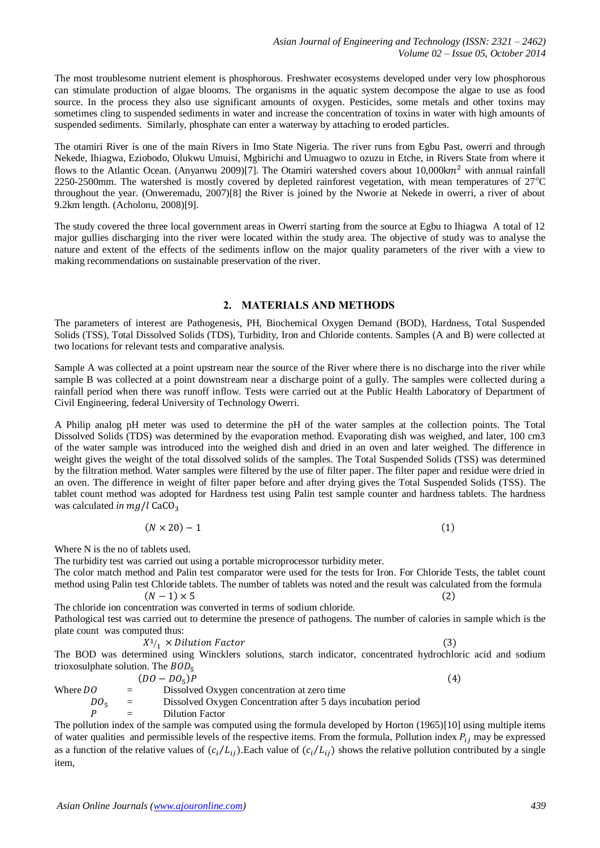The most troublesome nutrient element is phosphorous. Freshwater ecosystems developed under very low phosphorous can stimulate production of algae blooms. The organisms in the aquatic system decompose the algae to use as food source. In the process they also use significant amounts of oxygen. Pesticides, some metals and other toxins may sometimes cling to suspended sediments in water and increase the concentration of toxins in water with high amounts of suspended sediments. Similarly, phosphate can enter a waterway by attaching to eroded particles.

The otamiri River is one of the main Rivers in Imo State Nigeria. The river runs from Egbu Past, owerri and through Nekede, Ihiagwa, Eziobodo, Olukwu Umuisi, Mgbirichi and Umuagwo to ozuzu in Etche, in Rivers State from where it flows to the Atlantic Ocean. (Anyanwu 2009)[7]. The Otamiri watershed covers about  $10,000$ k $m<sup>2</sup>$  with annual rainfall 2250-2500mm. The watershed is mostly covered by depleted rainforest vegetation, with mean temperatures of  $27^{\circ}$ C throughout the year. (Onweremadu, 2007)[8] the River is joined by the Nworie at Nekede in owerri, a river of about 9.2km length. (Acholonu, 2008)[9].

The study covered the three local government areas in Owerri starting from the source at Egbu to Ihiagwa A total of 12 major gullies discharging into the river were located within the study area. The objective of study was to analyse the nature and extent of the effects of the sediments inflow on the major quality parameters of the river with a view to making recommendations on sustainable preservation of the river.

## **2. MATERIALS AND METHODS**

The parameters of interest are Pathogenesis, PH, Biochemical Oxygen Demand (BOD), Hardness, Total Suspended Solids (TSS), Total Dissolved Solids (TDS), Turbidity, Iron and Chloride contents. Samples (A and B) were collected at two locations for relevant tests and comparative analysis.

Sample A was collected at a point upstream near the source of the River where there is no discharge into the river while sample B was collected at a point downstream near a discharge point of a gully. The samples were collected during a rainfall period when there was runoff inflow. Tests were carried out at the Public Health Laboratory of Department of Civil Engineering, federal University of Technology Owerri.

A Philip analog pH meter was used to determine the pH of the water samples at the collection points. The Total Dissolved Solids (TDS) was determined by the evaporation method. Evaporating dish was weighed, and later, 100 cm3 of the water sample was introduced into the weighed dish and dried in an oven and later weighed. The difference in weight gives the weight of the total dissolved solids of the samples. The Total Suspended Solids (TSS) was determined by the filtration method. Water samples were filtered by the use of filter paper. The filter paper and residue were dried in an oven. The difference in weight of filter paper before and after drying gives the Total Suspended Solids (TSS). The tablet count method was adopted for Hardness test using Palin test sample counter and hardness tablets. The hardness was calculated *in*

$$
(N \times 20) - 1 \tag{1}
$$

Where N is the no of tablets used.

The turbidity test was carried out using a portable microprocessor turbidity meter.

The color match method and Palin test comparator were used for the tests for Iron. For Chloride Tests, the tablet count method using Palin test Chloride tablets. The number of tablets was noted and the result was calculated from the formula  $(N-1) \times 5$  $(2)$ 

The chloride ion concentration was converted in terms of sodium chloride. Pathological test was carried out to determine the presence of pathogens. The number of calories in sample which is the plate count was computed thus:

$$
X^1/1 \times Dilution Factor
$$
 (3)  
determined using Windows solutions, starts indicate a  
concentrated hydrophlers, said, and

The BOD was determined using Wincklers solutions, starch indicator, concentrated hydrochloric acid and sodium trioxosulphate solution. The  $BOD<sub>5</sub>$ 

|                    |                   | $(DO - DO5)P$                                                 | (4) |
|--------------------|-------------------|---------------------------------------------------------------|-----|
| Where $DO$         | $=$ $-$           | Dissolved Oxygen concentration at zero time                   |     |
| $DO_{\varepsilon}$ | $\alpha = 1$      | Dissolved Oxygen Concentration after 5 days incubation period |     |
|                    | $\equiv$ $\equiv$ | Dilution Factor                                               |     |

The pollution index of the sample was computed using the formula developed by Horton (1965)[10] using multiple items of water qualities and permissible levels of the respective items. From the formula, Pollution index  $P_{ij}$  may be expressed as a function of the relative values of  $(c_i/L_{ii})$ . Each value of  $(c_i/L_{ii})$  shows the relative pollution contributed by a single item,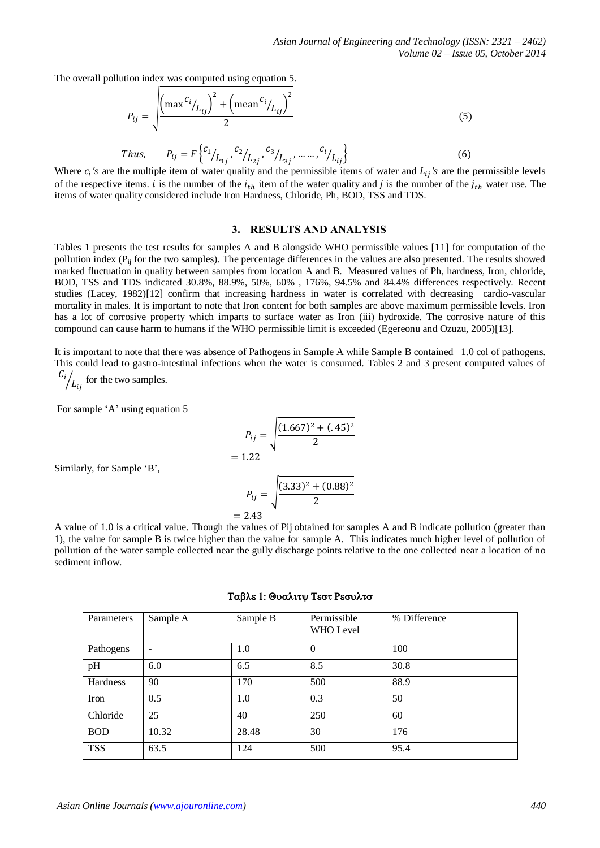The overall pollution index was computed using equation 5.

$$
P_{ij} = \sqrt{\frac{\left(\max^{C_i} / L_{ij}\right)^2 + \left(\max^{C_i} / L_{ij}\right)^2}{2}}
$$
(5)

Thus, 
$$
P_{ij} = F\left\{ {c_1}_{L_{1j}}, {c_2}_{L_{2j}}, {c_3}_{L_{3j}}, \dots, {c_i}_{L_{ij}} \right\}
$$
 (6)

Where  $c_i$ 's are the multiple item of water quality and the permissible items of water and  $L_{ij}$ 's are the permissible levels of the respective items. i is the number of the  $i_{th}$  item of the water quality and j is the number of the  $j_{th}$  water use. The items of water quality considered include Iron Hardness, Chloride, Ph, BOD, TSS and TDS.

## **3. RESULTS AND ANALYSIS**

Tables 1 presents the test results for samples A and B alongside WHO permissible values [11] for computation of the pollution index ( $P<sub>ii</sub>$  for the two samples). The percentage differences in the values are also presented. The results showed marked fluctuation in quality between samples from location A and B. Measured values of Ph, hardness, Iron, chloride, BOD, TSS and TDS indicated 30.8%, 88.9%, 50%, 60% , 176%, 94.5% and 84.4% differences respectively. Recent studies (Lacey, 1982)[12] confirm that increasing hardness in water is correlated with decreasing cardio-vascular mortality in males. It is important to note that Iron content for both samples are above maximum permissible levels. Iron has a lot of corrosive property which imparts to surface water as Iron (iii) hydroxide. The corrosive nature of this compound can cause harm to humans if the WHO permissible limit is exceeded (Egereonu and Ozuzu, 2005)[13].

It is important to note that there was absence of Pathogens in Sample A while Sample B contained 1.0 col of pathogens. This could lead to gastro-intestinal infections when the water is consumed. Tables 2 and 3 present computed values of

 $\frac{C_i}{L_{ij}}$  for the two samples.

For sample 'A' using equation 5

$$
P_{ij} = \sqrt{\frac{(1.667)^2 + (.45)^2}{2}}
$$
  
: 1.22

 $\equiv$ 

Similarly, for Sample 'B',

$$
P_{ij} = \sqrt{\frac{(3.33)^2 + (0.88)^2}{2}}
$$
  
= 2.43

A value of 1.0 is a critical value. Though the values of Pij obtained for samples A and B indicate pollution (greater than 1), the value for sample B is twice higher than the value for sample A. This indicates much higher level of pollution of pollution of the water sample collected near the gully discharge points relative to the one collected near a location of no sediment inflow.

| Parameters | Sample A                 | Sample B | Permissible<br>WHO Level | % Difference |
|------------|--------------------------|----------|--------------------------|--------------|
| Pathogens  | $\overline{\phantom{a}}$ | 1.0      | $\theta$                 | 100          |
| pH         | 6.0                      | 6.5      | 8.5                      | 30.8         |
| Hardness   | 90                       | 170      | 500                      | 88.9         |
| Iron       | 0.5                      | 1.0      | 0.3                      | 50           |
| Chloride   | 25                       | 40       | 250                      | 60           |
| <b>BOD</b> | 10.32                    | 28.48    | 30                       | 176          |
| <b>TSS</b> | 63.5                     | 124      | 500                      | 95.4         |

#### Ταβλε 1: Θυαλιτψ Τεστ Ρεσυλτσ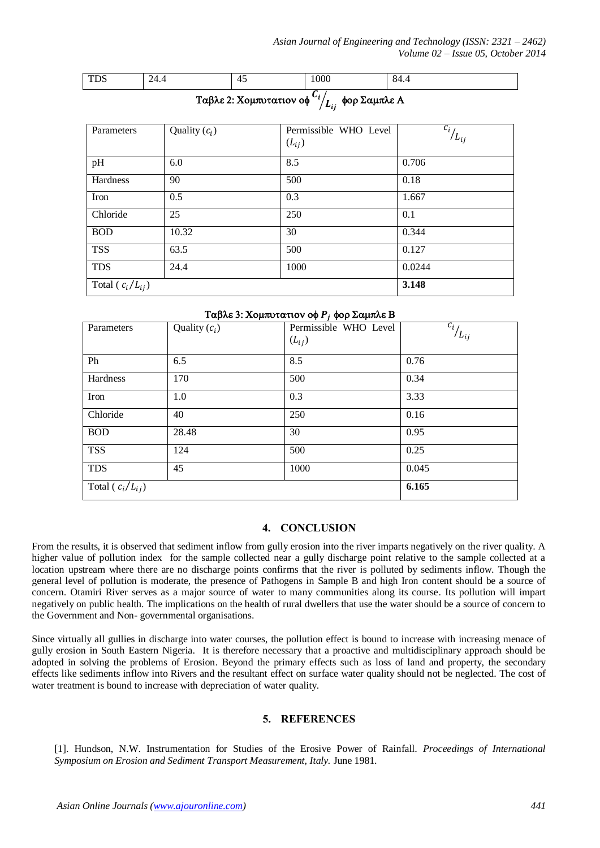TDS 24.4 45 1000 84.4

| Parameters             | Quality $(c_i)$ | Permissible WHO Level<br>$(L_{ij})$ | $c_{i}$<br>$/L_{ij}$ |
|------------------------|-----------------|-------------------------------------|----------------------|
| pH                     | 6.0             | 8.5                                 | 0.706                |
| Hardness               | 90              | 500                                 | 0.18                 |
| Iron                   | 0.5             | 0.3                                 | 1.667                |
| Chloride               | 25              | 250                                 | 0.1                  |
| <b>BOD</b>             | 10.32           | 30                                  | 0.344                |
| <b>TSS</b>             | 63.5            | 500                                 | 0.127                |
| <b>TDS</b>             | 24.4            | 1000                                | 0.0244               |
| Total ( $c_i/L_{ij}$ ) |                 |                                     | 3.148                |

## Tαβλε 3: Χομπυτατιον οφ  $P_i$  φορ Σαμπλε Β

| Parameters             | Quality $(c_i)$ | Permissible WHO Level | $\overline{c_i}_{L_{ij}}$ |
|------------------------|-----------------|-----------------------|---------------------------|
|                        |                 | $(L_{ij})$            |                           |
| Ph                     | 6.5             | 8.5                   | 0.76                      |
| Hardness               | 170             | 500                   | 0.34                      |
| Iron                   | 1.0             | 0.3                   | 3.33                      |
| Chloride               | 40              | 250                   | 0.16                      |
| <b>BOD</b>             | 28.48           | 30                    | 0.95                      |
| <b>TSS</b>             | 124             | 500                   | 0.25                      |
| <b>TDS</b>             | 45              | 1000                  | 0.045                     |
| Total ( $c_i/L_{ij}$ ) |                 |                       | 6.165                     |

# **4. CONCLUSION**

From the results, it is observed that sediment inflow from gully erosion into the river imparts negatively on the river quality. A higher value of pollution index for the sample collected near a gully discharge point relative to the sample collected at a location upstream where there are no discharge points confirms that the river is polluted by sediments inflow. Though the general level of pollution is moderate, the presence of Pathogens in Sample B and high Iron content should be a source of concern. Otamiri River serves as a major source of water to many communities along its course. Its pollution will impart negatively on public health. The implications on the health of rural dwellers that use the water should be a source of concern to the Government and Non- governmental organisations.

Since virtually all gullies in discharge into water courses, the pollution effect is bound to increase with increasing menace of gully erosion in South Eastern Nigeria. It is therefore necessary that a proactive and multidisciplinary approach should be adopted in solving the problems of Erosion. Beyond the primary effects such as loss of land and property, the secondary effects like sediments inflow into Rivers and the resultant effect on surface water quality should not be neglected. The cost of water treatment is bound to increase with depreciation of water quality.

## **5. REFERENCES**

[1]. Hundson, N.W. Instrumentation for Studies of the Erosive Power of Rainfall. *Proceedings of International Symposium on Erosion and Sediment Transport Measurement, Italy.* June 1981.